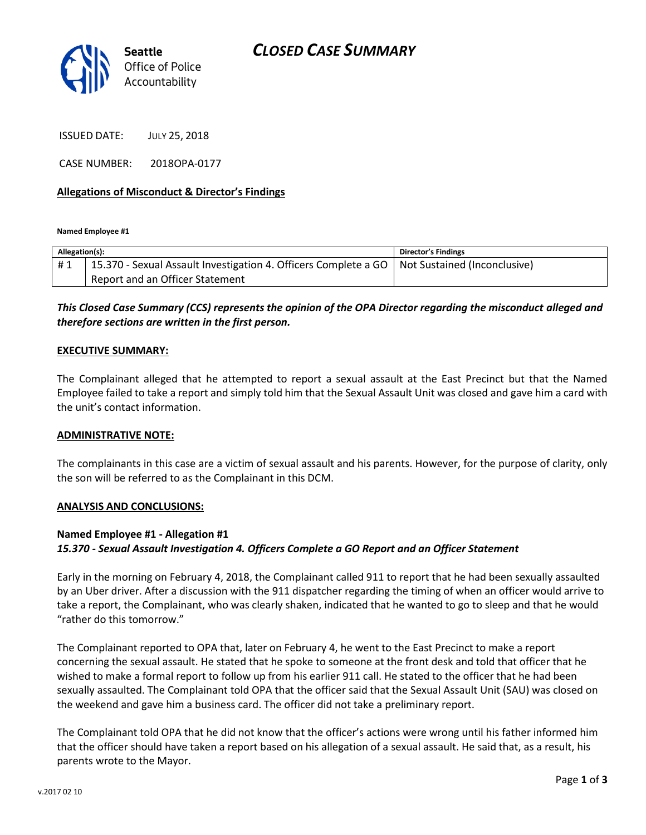

ISSUED DATE: JULY 25, 2018

CASE NUMBER: 2018OPA-0177

### **Allegations of Misconduct & Director's Findings**

**Named Employee #1**

| Allegation(s): |                                                                                                | <b>Director's Findings</b> |
|----------------|------------------------------------------------------------------------------------------------|----------------------------|
| #1             | 15.370 - Sexual Assault Investigation 4. Officers Complete a GO   Not Sustained (Inconclusive) |                            |
|                | Report and an Officer Statement                                                                |                            |

## *This Closed Case Summary (CCS) represents the opinion of the OPA Director regarding the misconduct alleged and therefore sections are written in the first person.*

#### **EXECUTIVE SUMMARY:**

The Complainant alleged that he attempted to report a sexual assault at the East Precinct but that the Named Employee failed to take a report and simply told him that the Sexual Assault Unit was closed and gave him a card with the unit's contact information.

#### **ADMINISTRATIVE NOTE:**

The complainants in this case are a victim of sexual assault and his parents. However, for the purpose of clarity, only the son will be referred to as the Complainant in this DCM.

#### **ANALYSIS AND CONCLUSIONS:**

#### **Named Employee #1 - Allegation #1**

### *15.370 - Sexual Assault Investigation 4. Officers Complete a GO Report and an Officer Statement*

Early in the morning on February 4, 2018, the Complainant called 911 to report that he had been sexually assaulted by an Uber driver. After a discussion with the 911 dispatcher regarding the timing of when an officer would arrive to take a report, the Complainant, who was clearly shaken, indicated that he wanted to go to sleep and that he would "rather do this tomorrow."

The Complainant reported to OPA that, later on February 4, he went to the East Precinct to make a report concerning the sexual assault. He stated that he spoke to someone at the front desk and told that officer that he wished to make a formal report to follow up from his earlier 911 call. He stated to the officer that he had been sexually assaulted. The Complainant told OPA that the officer said that the Sexual Assault Unit (SAU) was closed on the weekend and gave him a business card. The officer did not take a preliminary report.

The Complainant told OPA that he did not know that the officer's actions were wrong until his father informed him that the officer should have taken a report based on his allegation of a sexual assault. He said that, as a result, his parents wrote to the Mayor.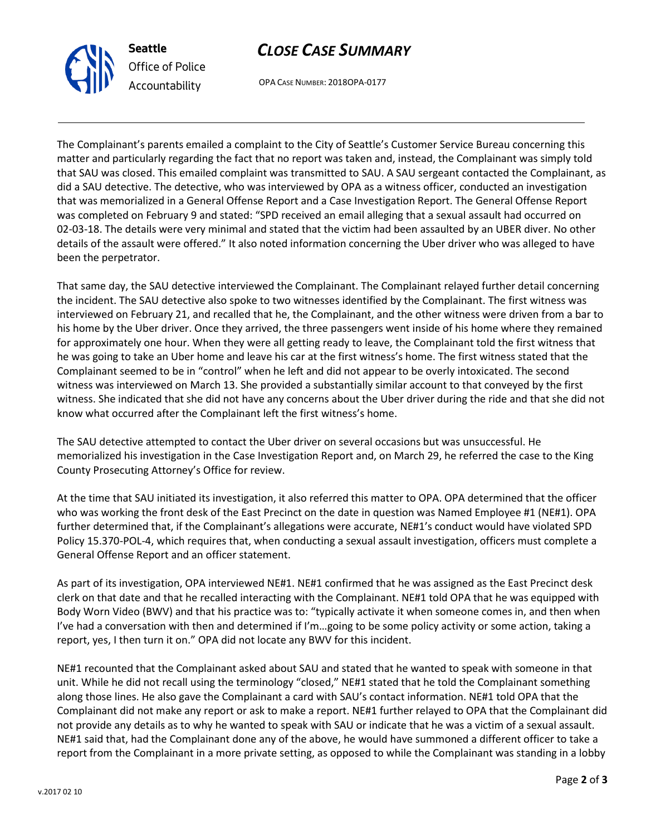

# *CLOSE CASE SUMMARY*

OPA CASE NUMBER: 2018OPA-0177

The Complainant's parents emailed a complaint to the City of Seattle's Customer Service Bureau concerning this matter and particularly regarding the fact that no report was taken and, instead, the Complainant was simply told that SAU was closed. This emailed complaint was transmitted to SAU. A SAU sergeant contacted the Complainant, as did a SAU detective. The detective, who was interviewed by OPA as a witness officer, conducted an investigation that was memorialized in a General Offense Report and a Case Investigation Report. The General Offense Report was completed on February 9 and stated: "SPD received an email alleging that a sexual assault had occurred on 02-03-18. The details were very minimal and stated that the victim had been assaulted by an UBER diver. No other details of the assault were offered." It also noted information concerning the Uber driver who was alleged to have been the perpetrator.

That same day, the SAU detective interviewed the Complainant. The Complainant relayed further detail concerning the incident. The SAU detective also spoke to two witnesses identified by the Complainant. The first witness was interviewed on February 21, and recalled that he, the Complainant, and the other witness were driven from a bar to his home by the Uber driver. Once they arrived, the three passengers went inside of his home where they remained for approximately one hour. When they were all getting ready to leave, the Complainant told the first witness that he was going to take an Uber home and leave his car at the first witness's home. The first witness stated that the Complainant seemed to be in "control" when he left and did not appear to be overly intoxicated. The second witness was interviewed on March 13. She provided a substantially similar account to that conveyed by the first witness. She indicated that she did not have any concerns about the Uber driver during the ride and that she did not know what occurred after the Complainant left the first witness's home.

The SAU detective attempted to contact the Uber driver on several occasions but was unsuccessful. He memorialized his investigation in the Case Investigation Report and, on March 29, he referred the case to the King County Prosecuting Attorney's Office for review.

At the time that SAU initiated its investigation, it also referred this matter to OPA. OPA determined that the officer who was working the front desk of the East Precinct on the date in question was Named Employee #1 (NE#1). OPA further determined that, if the Complainant's allegations were accurate, NE#1's conduct would have violated SPD Policy 15.370-POL-4, which requires that, when conducting a sexual assault investigation, officers must complete a General Offense Report and an officer statement.

As part of its investigation, OPA interviewed NE#1. NE#1 confirmed that he was assigned as the East Precinct desk clerk on that date and that he recalled interacting with the Complainant. NE#1 told OPA that he was equipped with Body Worn Video (BWV) and that his practice was to: "typically activate it when someone comes in, and then when I've had a conversation with then and determined if I'm…going to be some policy activity or some action, taking a report, yes, I then turn it on." OPA did not locate any BWV for this incident.

NE#1 recounted that the Complainant asked about SAU and stated that he wanted to speak with someone in that unit. While he did not recall using the terminology "closed," NE#1 stated that he told the Complainant something along those lines. He also gave the Complainant a card with SAU's contact information. NE#1 told OPA that the Complainant did not make any report or ask to make a report. NE#1 further relayed to OPA that the Complainant did not provide any details as to why he wanted to speak with SAU or indicate that he was a victim of a sexual assault. NE#1 said that, had the Complainant done any of the above, he would have summoned a different officer to take a report from the Complainant in a more private setting, as opposed to while the Complainant was standing in a lobby